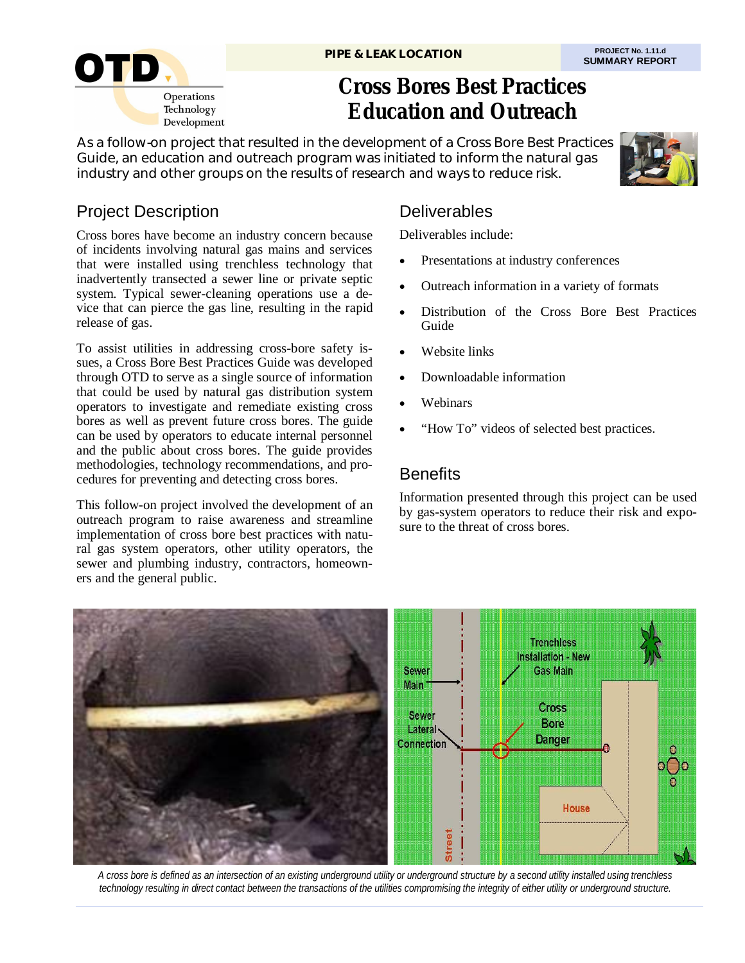

# **Cross Bores Best Practices Education and Outreach**

As a follow-on project that resulted in the development of a Cross Bore Best Practices Guide, an education and outreach program was initiated to inform the natural gas industry and other groups on the results of research and ways to reduce risk.



## Project Description

Cross bores have become an industry concern because of incidents involving natural gas mains and services that were installed using trenchless technology that inadvertently transected a sewer line or private septic system. Typical sewer-cleaning operations use a device that can pierce the gas line, resulting in the rapid release of gas.

To assist utilities in addressing cross-bore safety issues, a Cross Bore Best Practices Guide was developed through OTD to serve as a single source of information that could be used by natural gas distribution system operators to investigate and remediate existing cross bores as well as prevent future cross bores. The guide can be used by operators to educate internal personnel and the public about cross bores. The guide provides methodologies, technology recommendations, and procedures for preventing and detecting cross bores.

This follow-on project involved the development of an outreach program to raise awareness and streamline implementation of cross bore best practices with natural gas system operators, other utility operators, the sewer and plumbing industry, contractors, homeowners and the general public.

### **Deliverables**

Deliverables include:

- Presentations at industry conferences
- Outreach information in a variety of formats
- Distribution of the Cross Bore Best Practices Guide
- Website links
- Downloadable information
- Webinars
- "How To" videos of selected best practices.

### **Benefits**

Information presented through this project can be used by gas-system operators to reduce their risk and exposure to the threat of cross bores.



*A cross bore is defined as an intersection of an existing underground utility or underground structure by a second utility installed using trenchless technology resulting in direct contact between the transactions of the utilities compromising the integrity of either utility or underground structure.*